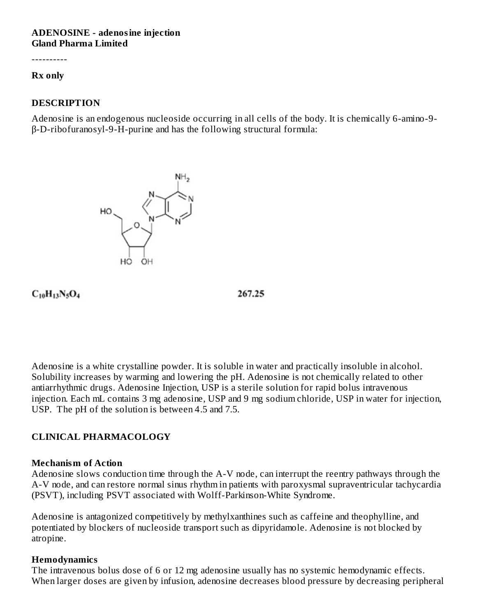### **ADENOSINE - adenosine injection Gland Pharma Limited**

----------

#### **Rx only**

#### **DESCRIPTION**

Adenosine is an endogenous nucleoside occurring in all cells of the body. It is chemically 6-amino-9 β-D-ribofuranosyl-9-H-purine and has the following structural formula:



 $C_{10}H_{13}N_5O_4$ 

267.25

Adenosine is a white crystalline powder. It is soluble in water and practically insoluble in alcohol. Solubility increases by warming and lowering the pH. Adenosine is not chemically related to other antiarrhythmic drugs. Adenosine Injection, USP is a sterile solution for rapid bolus intravenous injection. Each mL contains 3 mg adenosine, USP and 9 mg sodium chloride, USP in water for injection, USP. The pH of the solution is between 4.5 and 7.5.

# **CLINICAL PHARMACOLOGY**

#### **Mechanism of Action**

Adenosine slows conduction time through the A-V node, can interrupt the reentry pathways through the A-V node, and can restore normal sinus rhythm in patients with paroxysmal supraventricular tachycardia (PSVT), including PSVT associated with Wolff-Parkinson-White Syndrome.

Adenosine is antagonized competitively by methylxanthines such as caffeine and theophylline, and potentiated by blockers of nucleoside transport such as dipyridamole. Adenosine is not blocked by atropine.

#### **Hemodynamics**

The intravenous bolus dose of 6 or 12 mg adenosine usually has no systemic hemodynamic effects. When larger doses are given by infusion, adenosine decreases blood pressure by decreasing peripheral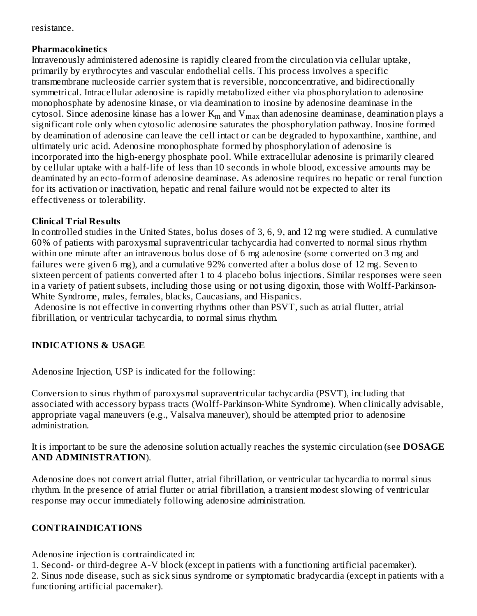#### resistance.

# **Pharmacokinetics**

Intravenously administered adenosine is rapidly cleared from the circulation via cellular uptake, primarily by erythrocytes and vascular endothelial cells. This process involves a specific transmembrane nucleoside carrier system that is reversible, nonconcentrative, and bidirectionally symmetrical. Intracellular adenosine is rapidly metabolized either via phosphorylation to adenosine monophosphate by adenosine kinase, or via deamination to inosine by adenosine deaminase in the cytosol. Since adenosine kinase has a lower  $\rm K_m$  and  $\rm V_{max}$ than adenosine deaminase, deamination plays a significant role only when cytosolic adenosine saturates the phosphorylation pathway. Inosine formed by deamination of adenosine can leave the cell intact or can be degraded to hypoxanthine, xanthine, and ultimately uric acid. Adenosine monophosphate formed by phosphorylation of adenosine is incorporated into the high-energy phosphate pool. While extracellular adenosine is primarily cleared by cellular uptake with a half-life of less than 10 seconds in whole blood, excessive amounts may be deaminated by an ecto-form of adenosine deaminase. As adenosine requires no hepatic or renal function for its activation or inactivation, hepatic and renal failure would not be expected to alter its effectiveness or tolerability.

# **Clinical Trial Results**

In controlled studies in the United States, bolus doses of 3, 6, 9, and 12 mg were studied. A cumulative 60% of patients with paroxysmal supraventricular tachycardia had converted to normal sinus rhythm within one minute after an intravenous bolus dose of 6 mg adenosine (some converted on 3 mg and failures were given 6 mg), and a cumulative 92% converted after a bolus dose of 12 mg. Seven to sixteen percent of patients converted after 1 to 4 placebo bolus injections. Similar responses were seen in a variety of patient subsets, including those using or not using digoxin, those with Wolff-Parkinson-White Syndrome, males, females, blacks, Caucasians, and Hispanics.

Adenosine is not effective in converting rhythms other than PSVT, such as atrial flutter, atrial fibrillation, or ventricular tachycardia, to normal sinus rhythm.

# **INDICATIONS & USAGE**

Adenosine Injection, USP is indicated for the following:

Conversion to sinus rhythm of paroxysmal supraventricular tachycardia (PSVT), including that associated with accessory bypass tracts (Wolff-Parkinson-White Syndrome). When clinically advisable, appropriate vagal maneuvers (e.g., Valsalva maneuver), should be attempted prior to adenosine administration.

It is important to be sure the adenosine solution actually reaches the systemic circulation (see **DOSAGE AND ADMINISTRATION**).

Adenosine does not convert atrial flutter, atrial fibrillation, or ventricular tachycardia to normal sinus rhythm. In the presence of atrial flutter or atrial fibrillation, a transient modest slowing of ventricular response may occur immediately following adenosine administration.

# **CONTRAINDICATIONS**

Adenosine injection is contraindicated in:

1. Second- or third-degree A-V block (except in patients with a functioning artificial pacemaker). 2. Sinus node disease, such as sick sinus syndrome or symptomatic bradycardia (except in patients with a functioning artificial pacemaker).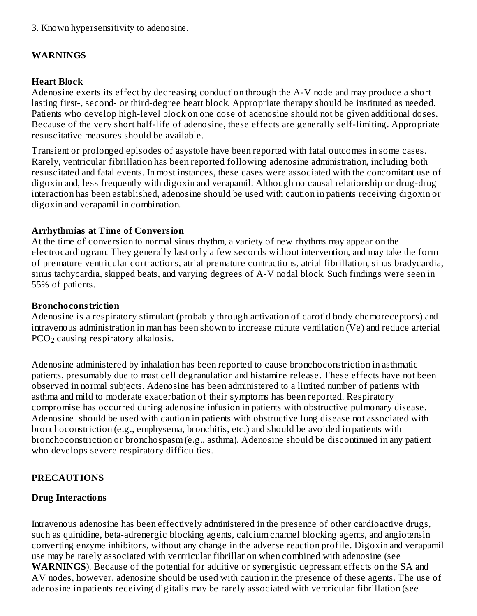3. Known hypersensitivity to adenosine.

### **WARNINGS**

### **Heart Block**

Adenosine exerts its effect by decreasing conduction through the A-V node and may produce a short lasting first-, second- or third-degree heart block. Appropriate therapy should be instituted as needed. Patients who develop high-level block on one dose of adenosine should not be given additional doses. Because of the very short half-life of adenosine, these effects are generally self-limiting. Appropriate resuscitative measures should be available.

Transient or prolonged episodes of asystole have been reported with fatal outcomes in some cases. Rarely, ventricular fibrillation has been reported following adenosine administration, including both resuscitated and fatal events. In most instances, these cases were associated with the concomitant use of digoxin and, less frequently with digoxin and verapamil. Although no causal relationship or drug-drug interaction has been established, adenosine should be used with caution in patients receiving digoxin or digoxin and verapamil in combination.

### **Arrhythmias at Time of Conversion**

At the time of conversion to normal sinus rhythm, a variety of new rhythms may appear on the electrocardiogram. They generally last only a few seconds without intervention, and may take the form of premature ventricular contractions, atrial premature contractions, atrial fibrillation, sinus bradycardia, sinus tachycardia, skipped beats, and varying degrees of A-V nodal block. Such findings were seen in 55% of patients.

#### **Bronchoconstriction**

Adenosine is a respiratory stimulant (probably through activation of carotid body chemoreceptors) and intravenous administration in man has been shown to increase minute ventilation (Ve) and reduce arterial  $PCO<sub>2</sub>$  causing respiratory alkalosis.

Adenosine administered by inhalation has been reported to cause bronchoconstriction in asthmatic patients, presumably due to mast cell degranulation and histamine release. These effects have not been observed in normal subjects. Adenosine has been administered to a limited number of patients with asthma and mild to moderate exacerbation of their symptoms has been reported. Respiratory compromise has occurred during adenosine infusion in patients with obstructive pulmonary disease. Adenosine should be used with caution in patients with obstructive lung disease not associated with bronchoconstriction (e.g., emphysema, bronchitis, etc.) and should be avoided in patients with bronchoconstriction or bronchospasm (e.g., asthma). Adenosine should be discontinued in any patient who develops severe respiratory difficulties.

#### **PRECAUTIONS**

#### **Drug Interactions**

Intravenous adenosine has been effectively administered in the presence of other cardioactive drugs, such as quinidine, beta-adrenergic blocking agents, calcium channel blocking agents, and angiotensin converting enzyme inhibitors, without any change in the adverse reaction profile. Digoxin and verapamil use may be rarely associated with ventricular fibrillation when combined with adenosine (see **WARNINGS**). Because of the potential for additive or synergistic depressant effects on the SA and AV nodes, however, adenosine should be used with caution in the presence of these agents. The use of adenosine in patients receiving digitalis may be rarely associated with ventricular fibrillation (see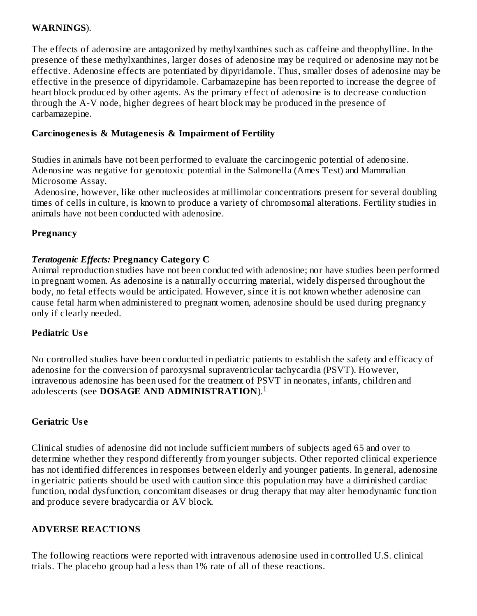# **WARNINGS**).

The effects of adenosine are antagonized by methylxanthines such as caffeine and theophylline. In the presence of these methylxanthines, larger doses of adenosine may be required or adenosine may not be effective. Adenosine effects are potentiated by dipyridamole. Thus, smaller doses of adenosine may be effective in the presence of dipyridamole. Carbamazepine has been reported to increase the degree of heart block produced by other agents. As the primary effect of adenosine is to decrease conduction through the A-V node, higher degrees of heart block may be produced in the presence of carbamazepine.

### **Carcinogenesis & Mutagenesis & Impairment of Fertility**

Studies in animals have not been performed to evaluate the carcinogenic potential of adenosine. Adenosine was negative for genotoxic potential in the Salmonella (Ames Test) and Mammalian Microsome Assay.

Adenosine, however, like other nucleosides at millimolar concentrations present for several doubling times of cells in culture, is known to produce a variety of chromosomal alterations. Fertility studies in animals have not been conducted with adenosine.

### **Pregnancy**

### *Teratogenic Effects:* **Pregnancy Category C**

Animal reproduction studies have not been conducted with adenosine; nor have studies been performed in pregnant women. As adenosine is a naturally occurring material, widely dispersed throughout the body, no fetal effects would be anticipated. However, since it is not known whether adenosine can cause fetal harm when administered to pregnant women, adenosine should be used during pregnancy only if clearly needed.

#### **Pediatric Us e**

No controlled studies have been conducted in pediatric patients to establish the safety and efficacy of adenosine for the conversion of paroxysmal supraventricular tachycardia (PSVT). However, intravenous adenosine has been used for the treatment of PSVT in neonates, infants, children and adolescents (see **DOSAGE AND ADMINISTRATION**). 1

#### **Geriatric Us e**

Clinical studies of adenosine did not include sufficient numbers of subjects aged 65 and over to determine whether they respond differently from younger subjects. Other reported clinical experience has not identified differences in responses between elderly and younger patients. In general, adenosine in geriatric patients should be used with caution since this population may have a diminished cardiac function, nodal dysfunction, concomitant diseases or drug therapy that may alter hemodynamic function and produce severe bradycardia or AV block.

#### **ADVERSE REACTIONS**

The following reactions were reported with intravenous adenosine used in controlled U.S. clinical trials. The placebo group had a less than 1% rate of all of these reactions.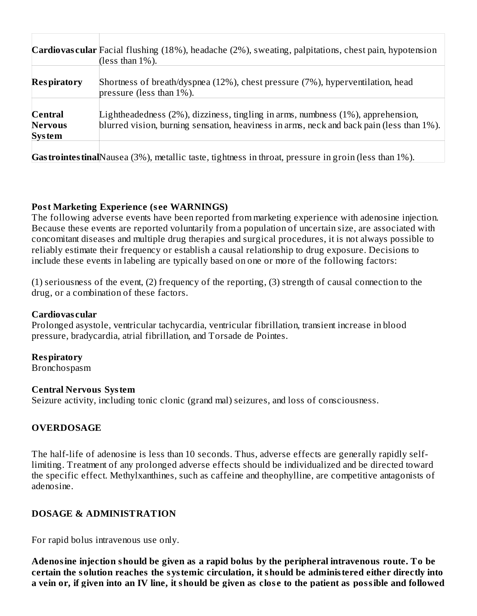|                                                   | <b>Cardiovas cular</b> Facial flushing (18%), headache (2%), sweating, palpitations, chest pain, hypotension<br>(less than $1\%$ ).                                               |
|---------------------------------------------------|-----------------------------------------------------------------------------------------------------------------------------------------------------------------------------------|
| <b>Respiratory</b>                                | Shortness of breath/dyspnea (12%), chest pressure (7%), hyperventilation, head<br>pressure (less than 1%).                                                                        |
| <b>Central</b><br><b>Nervous</b><br><b>System</b> | Lightheadedness $(2%)$ , dizziness, tingling in arms, numbness $(1%)$ , apprehension,<br>blurred vision, burning sensation, heaviness in arms, neck and back pain (less than 1%). |
|                                                   | <b>Gastrointestinal</b> Nausea (3%), metallic taste, tightness in throat, pressure in groin (less than 1%).                                                                       |

### **Post Marketing Experience (s ee WARNINGS)**

The following adverse events have been reported from marketing experience with adenosine injection. Because these events are reported voluntarily from a population of uncertain size, are associated with concomitant diseases and multiple drug therapies and surgical procedures, it is not always possible to reliably estimate their frequency or establish a causal relationship to drug exposure. Decisions to include these events in labeling are typically based on one or more of the following factors:

(1) seriousness of the event, (2) frequency of the reporting, (3) strength of causal connection to the drug, or a combination of these factors.

#### **Cardiovas cular**

Prolonged asystole, ventricular tachycardia, ventricular fibrillation, transient increase in blood pressure, bradycardia, atrial fibrillation, and Torsade de Pointes.

# **Respiratory**

Bronchospasm

#### **Central Nervous System**

Seizure activity, including tonic clonic (grand mal) seizures, and loss of consciousness.

# **OVERDOSAGE**

The half-life of adenosine is less than 10 seconds. Thus, adverse effects are generally rapidly selflimiting. Treatment of any prolonged adverse effects should be individualized and be directed toward the specific effect. Methylxanthines, such as caffeine and theophylline, are competitive antagonists of adenosine.

# **DOSAGE & ADMINISTRATION**

For rapid bolus intravenous use only.

**Adenosine injection should be given as a rapid bolus by the peripheral intravenous route. To be certain the solution reaches the systemic circulation, it should be administered either directly into** a vein or, if given into an IV line, it should be given as close to the patient as possible and followed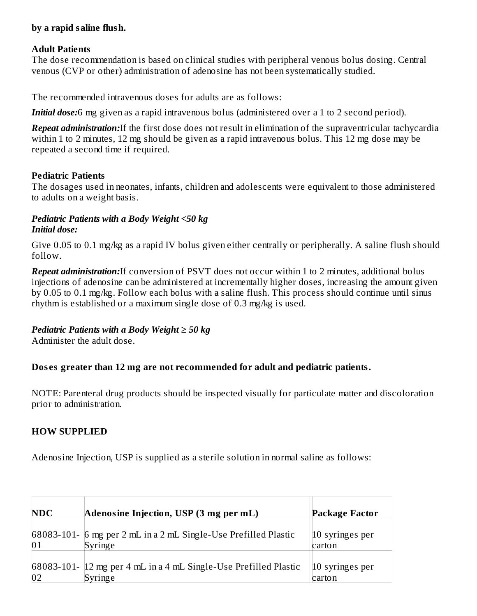# **by a rapid saline flush.**

#### **Adult Patients**

The dose recommendation is based on clinical studies with peripheral venous bolus dosing. Central venous (CVP or other) administration of adenosine has not been systematically studied.

The recommended intravenous doses for adults are as follows:

*Initial dose:*6 mg given as a rapid intravenous bolus (administered over a 1 to 2 second period).

*Repeat administration:*If the first dose does not result in elimination of the supraventricular tachycardia within 1 to 2 minutes, 12 mg should be given as a rapid intravenous bolus. This 12 mg dose may be repeated a second time if required.

#### **Pediatric Patients**

The dosages used in neonates, infants, children and adolescents were equivalent to those administered to adults on a weight basis.

#### *Pediatric Patients with a Body Weight <50 kg Initial dose:*

Give 0.05 to 0.1 mg/kg as a rapid IV bolus given either centrally or peripherally. A saline flush should follow.

*Repeat administration:*If conversion of PSVT does not occur within 1 to 2 minutes, additional bolus injections of adenosine can be administered at incrementally higher doses, increasing the amount given by 0.05 to 0.1 mg/kg. Follow each bolus with a saline flush. This process should continue until sinus rhythm is established or a maximum single dose of 0.3 mg/kg is used.

# *Pediatric Patients with a Body Weight ≥ 50 kg*

Administer the adult dose.

#### **Dos es greater than 12 mg are not recommended for adult and pediatric patients.**

NOTE: Parenteral drug products should be inspected visually for particulate matter and discoloration prior to administration.

#### **HOW SUPPLIED**

Adenosine Injection, USP is supplied as a sterile solution in normal saline as follows:

| <b>NDC</b> | Adenosine Injection, USP (3 mg per mL)                                      | <b>Package Factor</b>             |
|------------|-----------------------------------------------------------------------------|-----------------------------------|
|            | 68083-101- 6 mg per 2 mL in a 2 mL Single-Use Prefilled Plastic<br>Syringe  | $\vert$ 10 syringes per<br>carton |
| 02         | 68083-101- 12 mg per 4 mL in a 4 mL Single-Use Prefilled Plastic<br>Syringe | $\vert$ 10 syringes per<br>carton |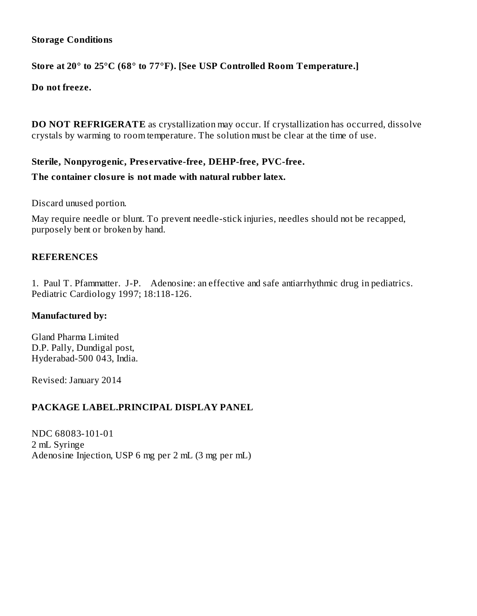#### **Storage Conditions**

# **Store at 20° to 25°C (68° to 77°F). [See USP Controlled Room Temperature.]**

# **Do not freeze.**

**DO NOT REFRIGERATE** as crystallization may occur. If crystallization has occurred, dissolve crystals by warming to room temperature. The solution must be clear at the time of use.

### **Sterile, Nonpyrogenic, Pres ervative-free, DEHP-free, PVC-free.**

### **The container closure is not made with natural rubber latex.**

Discard unused portion.

May require needle or blunt. To prevent needle-stick injuries, needles should not be recapped, purposely bent or broken by hand.

### **REFERENCES**

1. Paul T. Pfammatter. J-P. Adenosine: an effective and safe antiarrhythmic drug in pediatrics. Pediatric Cardiology 1997; 18:118-126.

#### **Manufactured by:**

Gland Pharma Limited D.P. Pally, Dundigal post, Hyderabad-500 043, India.

Revised: January 2014

# **PACKAGE LABEL.PRINCIPAL DISPLAY PANEL**

NDC 68083-101-01 2 mL Syringe Adenosine Injection, USP 6 mg per 2 mL (3 mg per mL)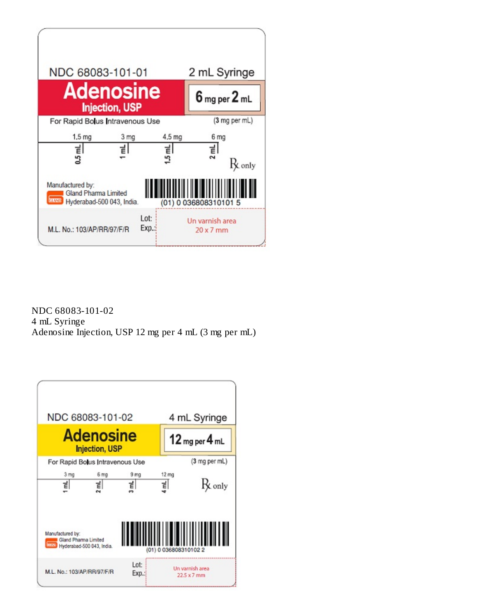

NDC 68083-101-02 4 mL Syringe Adenosine Injection, USP 12 mg per 4 mL (3 mg per mL)